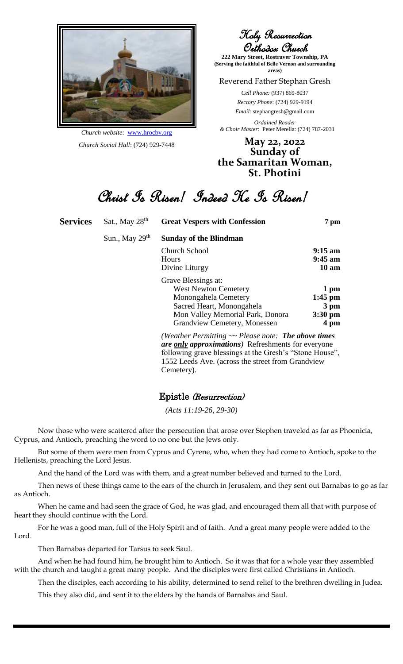

*Church website*: www.hrocbv.org *Church Social Hall*: (724) 929-7448

Holy Resurrection Orthodox Church

**222 Mary Street, Rostraver Township, PA (Serving the faithful of Belle Vernon and surrounding areas)**

Reverend Father Stephan Gresh

*Cell Phone:* (937) 869-8037 *Rectory Phone*: (724) 929-9194 *Email*: stephangresh@gmail.com

*Ordained Reader & Choir Master*: Peter Merella: (724) 787-2031

**May 22, 2022 Sunday of the Samaritan Woman, St. Photini**

Christ Is Risen! Indeed He Is Risen!

| <b>Services</b> | Sat., May 28 <sup>th</sup> | <b>Great Vespers with Confession</b>                                                                                                                                     | 7 pm            |
|-----------------|----------------------------|--------------------------------------------------------------------------------------------------------------------------------------------------------------------------|-----------------|
|                 | Sun., May $29th$           | <b>Sunday of the Blindman</b>                                                                                                                                            |                 |
|                 |                            | Church School                                                                                                                                                            | $9:15$ am       |
|                 |                            | Hours                                                                                                                                                                    | $9:45$ am       |
|                 |                            | Divine Liturgy                                                                                                                                                           | $10 \text{ am}$ |
|                 |                            | Grave Blessings at:                                                                                                                                                      |                 |
|                 |                            | <b>West Newton Cemetery</b>                                                                                                                                              | 1 pm            |
|                 |                            | Monongahela Cemetery                                                                                                                                                     | $1:45$ pm       |
|                 |                            | Sacred Heart, Monongahela                                                                                                                                                | 3 pm            |
|                 |                            | Mon Valley Memorial Park, Donora                                                                                                                                         | $3:30$ pm       |
|                 |                            | Grandview Cemetery, Monessen                                                                                                                                             | 4 pm            |
|                 |                            | (Weather Permitting $\sim$ Please note: The above times<br>are only approximations) Refreshments for everyone<br>following grave blessings at the Gresh's "Stone House". |                 |

following grave blessings at the Gresh's "Stone House", 1552 Leeds Ave. (across the street from Grandview Cemetery).

#### Epistle (Resurrection)

*(Acts 11:19-26, 29-30)*

Now those who were scattered after the persecution that arose over Stephen traveled as far as Phoenicia, Cyprus, and Antioch, preaching the word to no one but the Jews only.

But some of them were men from Cyprus and Cyrene, who, when they had come to Antioch, spoke to the Hellenists, preaching the Lord Jesus.

And the hand of the Lord was with them, and a great number believed and turned to the Lord.

Then news of these things came to the ears of the church in Jerusalem, and they sent out Barnabas to go as far as Antioch.

When he came and had seen the grace of God, he was glad, and encouraged them all that with purpose of heart they should continue with the Lord.

For he was a good man, full of the Holy Spirit and of faith. And a great many people were added to the Lord.

Then Barnabas departed for Tarsus to seek Saul.

And when he had found him, he brought him to Antioch. So it was that for a whole year they assembled with the church and taught a great many people. And the disciples were first called Christians in Antioch.

Then the disciples, each according to his ability, determined to send relief to the brethren dwelling in Judea. This they also did, and sent it to the elders by the hands of Barnabas and Saul.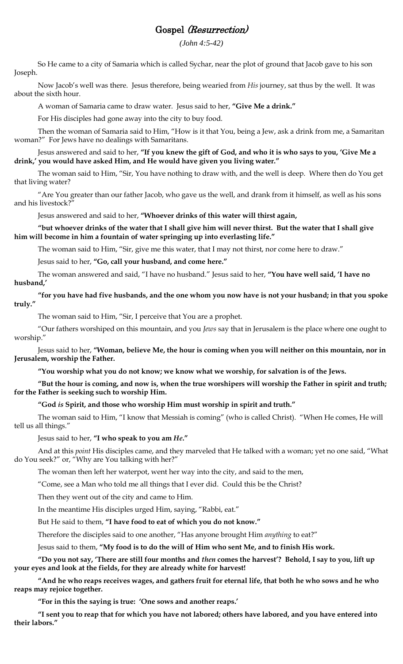### Gospel (Resurrection)

*(John 4:5-42)*

So He came to a city of Samaria which is called Sychar, near the plot of ground that Jacob gave to his son Joseph.

Now Jacob's well was there. Jesus therefore, being wearied from *His* journey, sat thus by the well. It was about the sixth hour.

A woman of Samaria came to draw water. Jesus said to her, **"Give Me a drink."**

For His disciples had gone away into the city to buy food.

Then the woman of Samaria said to Him, "How is it that You, being a Jew, ask a drink from me, a Samaritan woman?" For Jews have no dealings with Samaritans.

Jesus answered and said to her, **"If you knew the gift of God, and who it is who says to you, 'Give Me a drink,' you would have asked Him, and He would have given you living water."**

The woman said to Him, "Sir, You have nothing to draw with, and the well is deep. Where then do You get that living water?

"Are You greater than our father Jacob, who gave us the well, and drank from it himself, as well as his sons and his livestock?"

Jesus answered and said to her, **"Whoever drinks of this water will thirst again,**

#### **"but whoever drinks of the water that I shall give him will never thirst. But the water that I shall give him will become in him a fountain of water springing up into everlasting life."**

The woman said to Him, "Sir, give me this water, that I may not thirst, nor come here to draw."

Jesus said to her, **"Go, call your husband, and come here."**

The woman answered and said, "I have no husband." Jesus said to her, **"You have well said, 'I have no husband,'**

**"for you have had five husbands, and the one whom you now have is not your husband; in that you spoke truly."**

The woman said to Him, "Sir, I perceive that You are a prophet.

"Our fathers worshiped on this mountain, and you *Jews* say that in Jerusalem is the place where one ought to worship."

Jesus said to her, **"Woman, believe Me, the hour is coming when you will neither on this mountain, nor in Jerusalem, worship the Father.**

**"You worship what you do not know; we know what we worship, for salvation is of the Jews.**

**"But the hour is coming, and now is, when the true worshipers will worship the Father in spirit and truth; for the Father is seeking such to worship Him.**

**"God** *is* **Spirit, and those who worship Him must worship in spirit and truth."**

The woman said to Him, "I know that Messiah is coming" (who is called Christ). "When He comes, He will tell us all things."

Jesus said to her, **"I who speak to you am** *He***."**

And at this *point* His disciples came, and they marveled that He talked with a woman; yet no one said, "What do You seek?" or, "Why are You talking with her?"

The woman then left her waterpot, went her way into the city, and said to the men,

"Come, see a Man who told me all things that I ever did. Could this be the Christ?

Then they went out of the city and came to Him.

In the meantime His disciples urged Him, saying, "Rabbi, eat."

But He said to them, **"I have food to eat of which you do not know."**

Therefore the disciples said to one another, "Has anyone brought Him *anything* to eat?"

Jesus said to them, **"My food is to do the will of Him who sent Me, and to finish His work.**

**"Do you not say, 'There are still four months and** *then* **comes the harvest'? Behold, I say to you, lift up your eyes and look at the fields, for they are already white for harvest!**

**"And he who reaps receives wages, and gathers fruit for eternal life, that both he who sows and he who reaps may rejoice together.**

**"For in this the saying is true: 'One sows and another reaps.'**

**"I sent you to reap that for which you have not labored; others have labored, and you have entered into their labors."**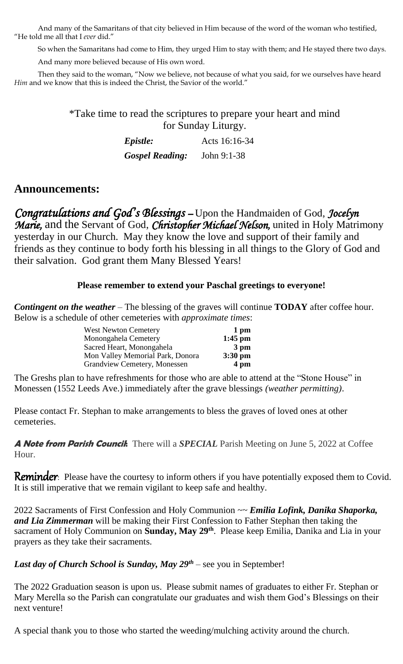And many of the Samaritans of that city believed in Him because of the word of the woman who testified, "He told me all that I *ever* did."

So when the Samaritans had come to Him, they urged Him to stay with them; and He stayed there two days.

And many more believed because of His own word.

Then they said to the woman, "Now we believe, not because of what you said, for we ourselves have heard *Him* and we know that this is indeed the Christ, the Savior of the world."

> \*Take time to read the scriptures to prepare your heart and mind for Sunday Liturgy.

| <i><b>Epistle:</b></i> | Acts 16:16-34 |
|------------------------|---------------|
| <b>Gospel Reading:</b> | John $9:1-38$ |

## **Announcements:**

*Congratulations and God's Blessings* – Upon the Handmaiden of God, *Jocelyn Marie,* and the Servant of God, *Christopher Michael Nelson,* united in Holy Matrimony yesterday in our Church. May they know the love and support of their family and friends as they continue to body forth his blessing in all things to the Glory of God and their salvation. God grant them Many Blessed Years!

#### **Please remember to extend your Paschal greetings to everyone!**

*Contingent on the weather* – The blessing of the graves will continue **TODAY** after coffee hour. Below is a schedule of other cemeteries with *approximate times*:

| <b>West Newton Cemetery</b>         | 1 pm              |
|-------------------------------------|-------------------|
| Monongahela Cemetery                | $1:45$ pm         |
| Sacred Heart, Monongahela           | $3 \text{ pm}$    |
| Mon Valley Memorial Park, Donora    | $3:30 \text{ pm}$ |
| <b>Grandview Cemetery, Monessen</b> | 4 pm              |
|                                     |                   |

The Greshs plan to have refreshments for those who are able to attend at the "Stone House" in Monessen (1552 Leeds Ave.) immediately after the grave blessings *(weather permitting)*.

Please contact Fr. Stephan to make arrangements to bless the graves of loved ones at other cemeteries.

**A Note from Parish Council:** There will a *SPECIAL* Parish Meeting on June 5, 2022 at Coffee Hour.

**Reminder**: Please have the courtesy to inform others if you have potentially exposed them to Covid. It is still imperative that we remain vigilant to keep safe and healthy.

2022 Sacraments of First Confession and Holy Communion ~~ *Emilia Lofink, Danika Shaporka, and Lia Zimmerman* will be making their First Confession to Father Stephan then taking the sacrament of Holy Communion on **Sunday, May 29th** . Please keep Emilia, Danika and Lia in your prayers as they take their sacraments.

#### *Last day of Church School is Sunday, May 29th* – see you in September!

The 2022 Graduation season is upon us. Please submit names of graduates to either Fr. Stephan or Mary Merella so the Parish can congratulate our graduates and wish them God's Blessings on their next venture!

A special thank you to those who started the weeding/mulching activity around the church.